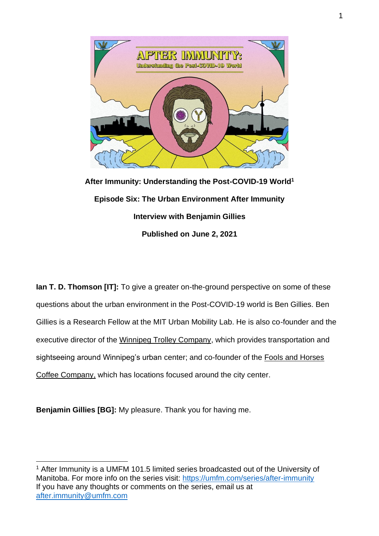

**After Immunity: Understanding the Post-COVID-19 World<sup>1</sup> Episode Six: The Urban Environment After Immunity Interview with Benjamin Gillies Published on June 2, 2021**

**Ian T. D. Thomson [IT]:** To give a greater on-the-ground perspective on some of these questions about the urban environment in the Post-COVID-19 world is Ben Gillies. Ben Gillies is a Research Fellow at the MIT Urban Mobility Lab. He is also co-founder and the executive director of the [Winnipeg Trolley Company,](https://winnipegtrolley.ca/) which provides transportation and sightseeing around Winnipeg's urban center; and co-founder of the [Fools and Horses](https://www.foolsandhorses.ca/)  [Coffee Company,](https://www.foolsandhorses.ca/) which has locations focused around the city center.

**Benjamin Gillies [BG]:** My pleasure. Thank you for having me.

<sup>&</sup>lt;sup>1</sup> After Immunity is a UMFM 101.5 limited series broadcasted out of the University of Manitoba. For more info on the series visit:<https://umfm.com/series/after-immunity> If you have any thoughts or comments on the series, email us at [after.immunity@umfm.com](mailto:after.immunity@umfm.com)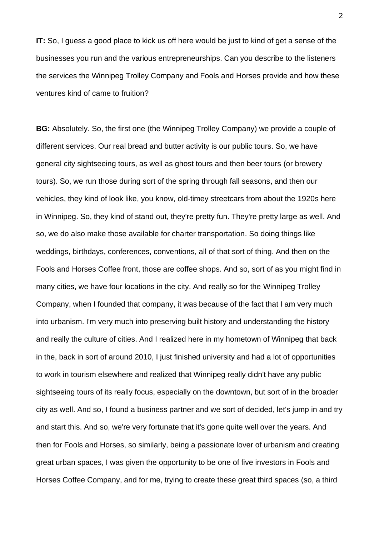**IT:** So, I guess a good place to kick us off here would be just to kind of get a sense of the businesses you run and the various entrepreneurships. Can you describe to the listeners the services the Winnipeg Trolley Company and Fools and Horses provide and how these ventures kind of came to fruition?

**BG:** Absolutely. So, the first one (the Winnipeg Trolley Company) we provide a couple of different services. Our real bread and butter activity is our public tours. So, we have general city sightseeing tours, as well as ghost tours and then beer tours (or brewery tours). So, we run those during sort of the spring through fall seasons, and then our vehicles, they kind of look like, you know, old-timey streetcars from about the 1920s here in Winnipeg. So, they kind of stand out, they're pretty fun. They're pretty large as well. And so, we do also make those available for charter transportation. So doing things like weddings, birthdays, conferences, conventions, all of that sort of thing. And then on the Fools and Horses Coffee front, those are coffee shops. And so, sort of as you might find in many cities, we have four locations in the city. And really so for the Winnipeg Trolley Company, when I founded that company, it was because of the fact that I am very much into urbanism. I'm very much into preserving built history and understanding the history and really the culture of cities. And I realized here in my hometown of Winnipeg that back in the, back in sort of around 2010, I just finished university and had a lot of opportunities to work in tourism elsewhere and realized that Winnipeg really didn't have any public sightseeing tours of its really focus, especially on the downtown, but sort of in the broader city as well. And so, I found a business partner and we sort of decided, let's jump in and try and start this. And so, we're very fortunate that it's gone quite well over the years. And then for Fools and Horses, so similarly, being a passionate lover of urbanism and creating great urban spaces, I was given the opportunity to be one of five investors in Fools and Horses Coffee Company, and for me, trying to create these great third spaces (so, a third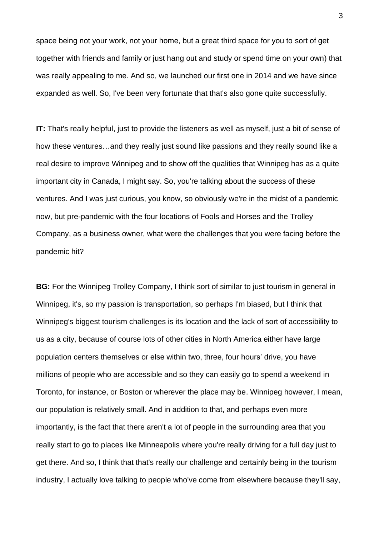space being not your work, not your home, but a great third space for you to sort of get together with friends and family or just hang out and study or spend time on your own) that was really appealing to me. And so, we launched our first one in 2014 and we have since expanded as well. So, I've been very fortunate that that's also gone quite successfully.

**IT:** That's really helpful, just to provide the listeners as well as myself, just a bit of sense of how these ventures…and they really just sound like passions and they really sound like a real desire to improve Winnipeg and to show off the qualities that Winnipeg has as a quite important city in Canada, I might say. So, you're talking about the success of these ventures. And I was just curious, you know, so obviously we're in the midst of a pandemic now, but pre-pandemic with the four locations of Fools and Horses and the Trolley Company, as a business owner, what were the challenges that you were facing before the pandemic hit?

**BG:** For the Winnipeg Trolley Company, I think sort of similar to just tourism in general in Winnipeg, it's, so my passion is transportation, so perhaps I'm biased, but I think that Winnipeg's biggest tourism challenges is its location and the lack of sort of accessibility to us as a city, because of course lots of other cities in North America either have large population centers themselves or else within two, three, four hours' drive, you have millions of people who are accessible and so they can easily go to spend a weekend in Toronto, for instance, or Boston or wherever the place may be. Winnipeg however, I mean, our population is relatively small. And in addition to that, and perhaps even more importantly, is the fact that there aren't a lot of people in the surrounding area that you really start to go to places like Minneapolis where you're really driving for a full day just to get there. And so, I think that that's really our challenge and certainly being in the tourism industry, I actually love talking to people who've come from elsewhere because they'll say,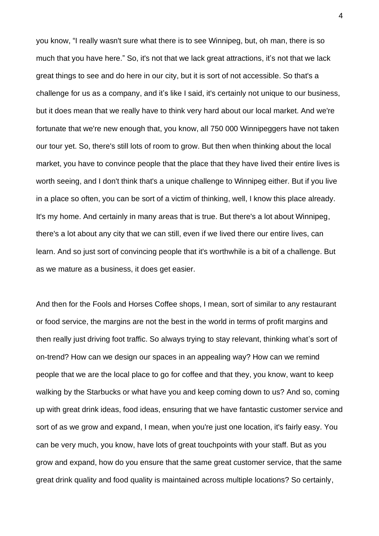you know, "I really wasn't sure what there is to see Winnipeg, but, oh man, there is so much that you have here." So, it's not that we lack great attractions, it's not that we lack great things to see and do here in our city, but it is sort of not accessible. So that's a challenge for us as a company, and it's like I said, it's certainly not unique to our business, but it does mean that we really have to think very hard about our local market. And we're fortunate that we're new enough that, you know, all 750 000 Winnipeggers have not taken our tour yet. So, there's still lots of room to grow. But then when thinking about the local market, you have to convince people that the place that they have lived their entire lives is worth seeing, and I don't think that's a unique challenge to Winnipeg either. But if you live in a place so often, you can be sort of a victim of thinking, well, I know this place already. It's my home. And certainly in many areas that is true. But there's a lot about Winnipeg, there's a lot about any city that we can still, even if we lived there our entire lives, can learn. And so just sort of convincing people that it's worthwhile is a bit of a challenge. But as we mature as a business, it does get easier.

And then for the Fools and Horses Coffee shops, I mean, sort of similar to any restaurant or food service, the margins are not the best in the world in terms of profit margins and then really just driving foot traffic. So always trying to stay relevant, thinking what's sort of on-trend? How can we design our spaces in an appealing way? How can we remind people that we are the local place to go for coffee and that they, you know, want to keep walking by the Starbucks or what have you and keep coming down to us? And so, coming up with great drink ideas, food ideas, ensuring that we have fantastic customer service and sort of as we grow and expand, I mean, when you're just one location, it's fairly easy. You can be very much, you know, have lots of great touchpoints with your staff. But as you grow and expand, how do you ensure that the same great customer service, that the same great drink quality and food quality is maintained across multiple locations? So certainly,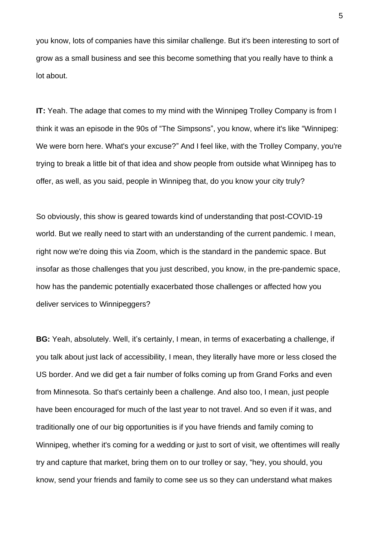you know, lots of companies have this similar challenge. But it's been interesting to sort of grow as a small business and see this become something that you really have to think a lot about.

**IT:** Yeah. The adage that comes to my mind with the Winnipeg Trolley Company is from I think it was an episode in the 90s of "The Simpsons", you know, where it's like "Winnipeg: We were born here. What's your excuse?" And I feel like, with the Trolley Company, you're trying to break a little bit of that idea and show people from outside what Winnipeg has to offer, as well, as you said, people in Winnipeg that, do you know your city truly?

So obviously, this show is geared towards kind of understanding that post-COVID-19 world. But we really need to start with an understanding of the current pandemic. I mean, right now we're doing this via Zoom, which is the standard in the pandemic space. But insofar as those challenges that you just described, you know, in the pre-pandemic space, how has the pandemic potentially exacerbated those challenges or affected how you deliver services to Winnipeggers?

**BG:** Yeah, absolutely. Well, it's certainly, I mean, in terms of exacerbating a challenge, if you talk about just lack of accessibility, I mean, they literally have more or less closed the US border. And we did get a fair number of folks coming up from Grand Forks and even from Minnesota. So that's certainly been a challenge. And also too, I mean, just people have been encouraged for much of the last year to not travel. And so even if it was, and traditionally one of our big opportunities is if you have friends and family coming to Winnipeg, whether it's coming for a wedding or just to sort of visit, we oftentimes will really try and capture that market, bring them on to our trolley or say, "hey, you should, you know, send your friends and family to come see us so they can understand what makes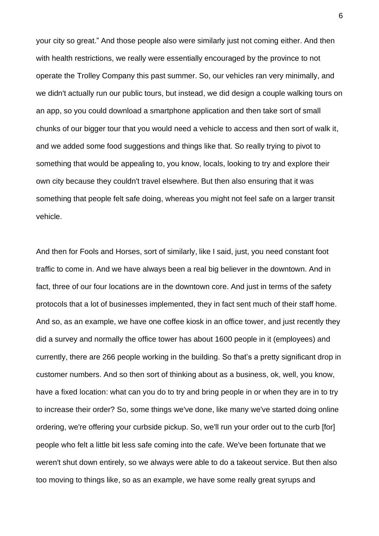your city so great." And those people also were similarly just not coming either. And then with health restrictions, we really were essentially encouraged by the province to not operate the Trolley Company this past summer. So, our vehicles ran very minimally, and we didn't actually run our public tours, but instead, we did design a couple walking tours on an app, so you could download a smartphone application and then take sort of small chunks of our bigger tour that you would need a vehicle to access and then sort of walk it, and we added some food suggestions and things like that. So really trying to pivot to something that would be appealing to, you know, locals, looking to try and explore their own city because they couldn't travel elsewhere. But then also ensuring that it was something that people felt safe doing, whereas you might not feel safe on a larger transit vehicle.

And then for Fools and Horses, sort of similarly, like I said, just, you need constant foot traffic to come in. And we have always been a real big believer in the downtown. And in fact, three of our four locations are in the downtown core. And just in terms of the safety protocols that a lot of businesses implemented, they in fact sent much of their staff home. And so, as an example, we have one coffee kiosk in an office tower, and just recently they did a survey and normally the office tower has about 1600 people in it (employees) and currently, there are 266 people working in the building. So that's a pretty significant drop in customer numbers. And so then sort of thinking about as a business, ok, well, you know, have a fixed location: what can you do to try and bring people in or when they are in to try to increase their order? So, some things we've done, like many we've started doing online ordering, we're offering your curbside pickup. So, we'll run your order out to the curb [for] people who felt a little bit less safe coming into the cafe. We've been fortunate that we weren't shut down entirely, so we always were able to do a takeout service. But then also too moving to things like, so as an example, we have some really great syrups and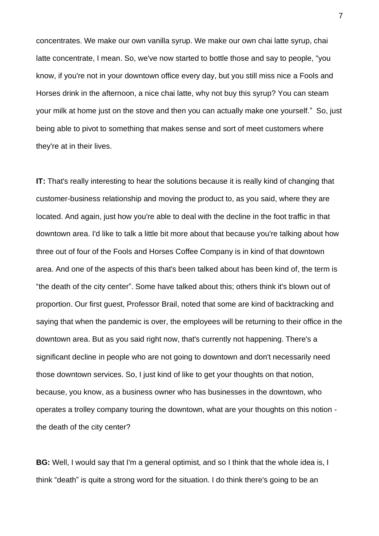concentrates. We make our own vanilla syrup. We make our own chai latte syrup, chai latte concentrate, I mean. So, we've now started to bottle those and say to people, "you know, if you're not in your downtown office every day, but you still miss nice a Fools and Horses drink in the afternoon, a nice chai latte, why not buy this syrup? You can steam your milk at home just on the stove and then you can actually make one yourself." So, just being able to pivot to something that makes sense and sort of meet customers where they're at in their lives.

**IT:** That's really interesting to hear the solutions because it is really kind of changing that customer-business relationship and moving the product to, as you said, where they are located. And again, just how you're able to deal with the decline in the foot traffic in that downtown area. I'd like to talk a little bit more about that because you're talking about how three out of four of the Fools and Horses Coffee Company is in kind of that downtown area. And one of the aspects of this that's been talked about has been kind of, the term is "the death of the city center". Some have talked about this; others think it's blown out of proportion. Our first guest, Professor Brail, noted that some are kind of backtracking and saying that when the pandemic is over, the employees will be returning to their office in the downtown area. But as you said right now, that's currently not happening. There's a significant decline in people who are not going to downtown and don't necessarily need those downtown services. So, I just kind of like to get your thoughts on that notion, because, you know, as a business owner who has businesses in the downtown, who operates a trolley company touring the downtown, what are your thoughts on this notion the death of the city center?

**BG:** Well, I would say that I'm a general optimist, and so I think that the whole idea is, I think "death" is quite a strong word for the situation. I do think there's going to be an

7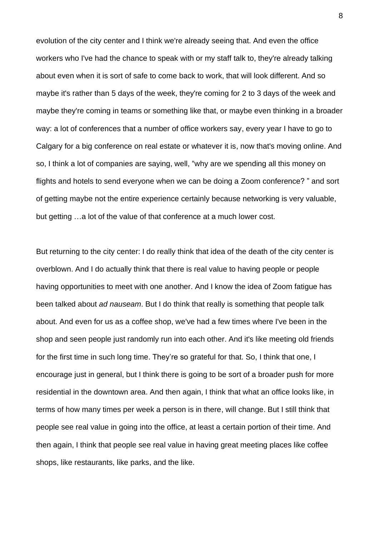evolution of the city center and I think we're already seeing that. And even the office workers who I've had the chance to speak with or my staff talk to, they're already talking about even when it is sort of safe to come back to work, that will look different. And so maybe it's rather than 5 days of the week, they're coming for 2 to 3 days of the week and maybe they're coming in teams or something like that, or maybe even thinking in a broader way: a lot of conferences that a number of office workers say, every year I have to go to Calgary for a big conference on real estate or whatever it is, now that's moving online. And so, I think a lot of companies are saying, well, "why are we spending all this money on flights and hotels to send everyone when we can be doing a Zoom conference? " and sort of getting maybe not the entire experience certainly because networking is very valuable, but getting …a lot of the value of that conference at a much lower cost.

But returning to the city center: I do really think that idea of the death of the city center is overblown. And I do actually think that there is real value to having people or people having opportunities to meet with one another. And I know the idea of Zoom fatigue has been talked about *ad nauseam*. But I do think that really is something that people talk about. And even for us as a coffee shop, we've had a few times where I've been in the shop and seen people just randomly run into each other. And it's like meeting old friends for the first time in such long time. They're so grateful for that. So, I think that one, I encourage just in general, but I think there is going to be sort of a broader push for more residential in the downtown area. And then again, I think that what an office looks like, in terms of how many times per week a person is in there, will change. But I still think that people see real value in going into the office, at least a certain portion of their time. And then again, I think that people see real value in having great meeting places like coffee shops, like restaurants, like parks, and the like.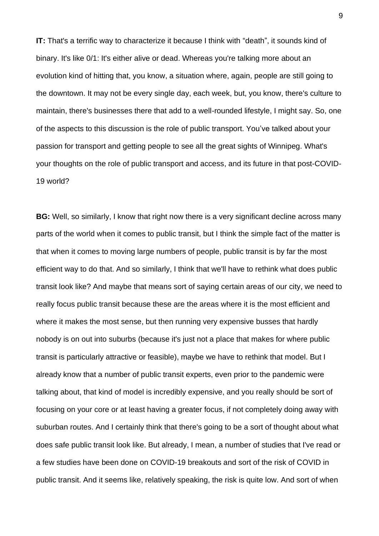**IT:** That's a terrific way to characterize it because I think with "death", it sounds kind of binary. It's like 0/1: It's either alive or dead. Whereas you're talking more about an evolution kind of hitting that, you know, a situation where, again, people are still going to the downtown. It may not be every single day, each week, but, you know, there's culture to maintain, there's businesses there that add to a well-rounded lifestyle, I might say. So, one of the aspects to this discussion is the role of public transport. You've talked about your passion for transport and getting people to see all the great sights of Winnipeg. What's your thoughts on the role of public transport and access, and its future in that post-COVID-19 world?

**BG:** Well, so similarly, I know that right now there is a very significant decline across many parts of the world when it comes to public transit, but I think the simple fact of the matter is that when it comes to moving large numbers of people, public transit is by far the most efficient way to do that. And so similarly, I think that we'll have to rethink what does public transit look like? And maybe that means sort of saying certain areas of our city, we need to really focus public transit because these are the areas where it is the most efficient and where it makes the most sense, but then running very expensive busses that hardly nobody is on out into suburbs (because it's just not a place that makes for where public transit is particularly attractive or feasible), maybe we have to rethink that model. But I already know that a number of public transit experts, even prior to the pandemic were talking about, that kind of model is incredibly expensive, and you really should be sort of focusing on your core or at least having a greater focus, if not completely doing away with suburban routes. And I certainly think that there's going to be a sort of thought about what does safe public transit look like. But already, I mean, a number of studies that I've read or a few studies have been done on COVID-19 breakouts and sort of the risk of COVID in public transit. And it seems like, relatively speaking, the risk is quite low. And sort of when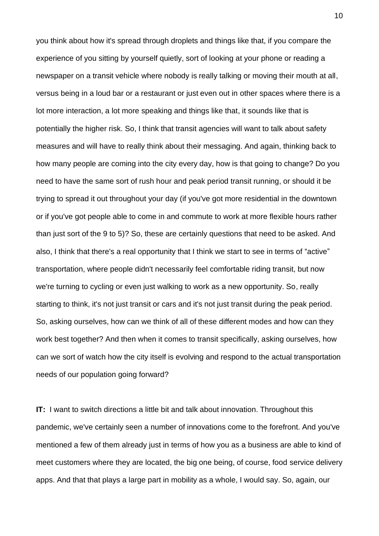you think about how it's spread through droplets and things like that, if you compare the experience of you sitting by yourself quietly, sort of looking at your phone or reading a newspaper on a transit vehicle where nobody is really talking or moving their mouth at all, versus being in a loud bar or a restaurant or just even out in other spaces where there is a lot more interaction, a lot more speaking and things like that, it sounds like that is potentially the higher risk. So, I think that transit agencies will want to talk about safety measures and will have to really think about their messaging. And again, thinking back to how many people are coming into the city every day, how is that going to change? Do you need to have the same sort of rush hour and peak period transit running, or should it be trying to spread it out throughout your day (if you've got more residential in the downtown or if you've got people able to come in and commute to work at more flexible hours rather than just sort of the 9 to 5)? So, these are certainly questions that need to be asked. And also, I think that there's a real opportunity that I think we start to see in terms of "active" transportation, where people didn't necessarily feel comfortable riding transit, but now we're turning to cycling or even just walking to work as a new opportunity. So, really starting to think, it's not just transit or cars and it's not just transit during the peak period. So, asking ourselves, how can we think of all of these different modes and how can they work best together? And then when it comes to transit specifically, asking ourselves, how can we sort of watch how the city itself is evolving and respond to the actual transportation needs of our population going forward?

**IT:** I want to switch directions a little bit and talk about innovation. Throughout this pandemic, we've certainly seen a number of innovations come to the forefront. And you've mentioned a few of them already just in terms of how you as a business are able to kind of meet customers where they are located, the big one being, of course, food service delivery apps. And that that plays a large part in mobility as a whole, I would say. So, again, our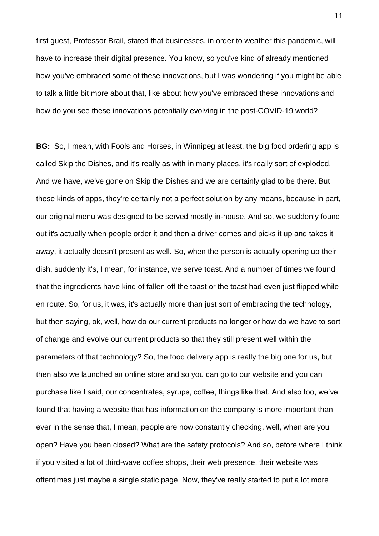first guest, Professor Brail, stated that businesses, in order to weather this pandemic, will have to increase their digital presence. You know, so you've kind of already mentioned how you've embraced some of these innovations, but I was wondering if you might be able to talk a little bit more about that, like about how you've embraced these innovations and how do you see these innovations potentially evolving in the post-COVID-19 world?

**BG:** So, I mean, with Fools and Horses, in Winnipeg at least, the big food ordering app is called Skip the Dishes, and it's really as with in many places, it's really sort of exploded. And we have, we've gone on Skip the Dishes and we are certainly glad to be there. But these kinds of apps, they're certainly not a perfect solution by any means, because in part, our original menu was designed to be served mostly in-house. And so, we suddenly found out it's actually when people order it and then a driver comes and picks it up and takes it away, it actually doesn't present as well. So, when the person is actually opening up their dish, suddenly it's, I mean, for instance, we serve toast. And a number of times we found that the ingredients have kind of fallen off the toast or the toast had even just flipped while en route. So, for us, it was, it's actually more than just sort of embracing the technology, but then saying, ok, well, how do our current products no longer or how do we have to sort of change and evolve our current products so that they still present well within the parameters of that technology? So, the food delivery app is really the big one for us, but then also we launched an online store and so you can go to our website and you can purchase like I said, our concentrates, syrups, coffee, things like that. And also too, we've found that having a website that has information on the company is more important than ever in the sense that, I mean, people are now constantly checking, well, when are you open? Have you been closed? What are the safety protocols? And so, before where I think if you visited a lot of third-wave coffee shops, their web presence, their website was oftentimes just maybe a single static page. Now, they've really started to put a lot more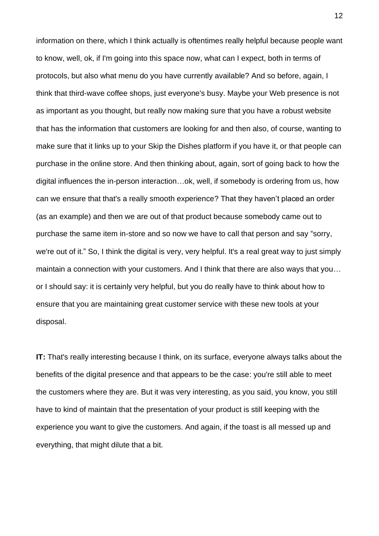information on there, which I think actually is oftentimes really helpful because people want to know, well, ok, if I'm going into this space now, what can I expect, both in terms of protocols, but also what menu do you have currently available? And so before, again, I think that third-wave coffee shops, just everyone's busy. Maybe your Web presence is not as important as you thought, but really now making sure that you have a robust website that has the information that customers are looking for and then also, of course, wanting to make sure that it links up to your Skip the Dishes platform if you have it, or that people can purchase in the online store. And then thinking about, again, sort of going back to how the digital influences the in-person interaction…ok, well, if somebody is ordering from us, how can we ensure that that's a really smooth experience? That they haven't placed an order (as an example) and then we are out of that product because somebody came out to purchase the same item in-store and so now we have to call that person and say "sorry, we're out of it." So, I think the digital is very, very helpful. It's a real great way to just simply maintain a connection with your customers. And I think that there are also ways that you… or I should say: it is certainly very helpful, but you do really have to think about how to ensure that you are maintaining great customer service with these new tools at your disposal.

**IT:** That's really interesting because I think, on its surface, everyone always talks about the benefits of the digital presence and that appears to be the case: you're still able to meet the customers where they are. But it was very interesting, as you said, you know, you still have to kind of maintain that the presentation of your product is still keeping with the experience you want to give the customers. And again, if the toast is all messed up and everything, that might dilute that a bit.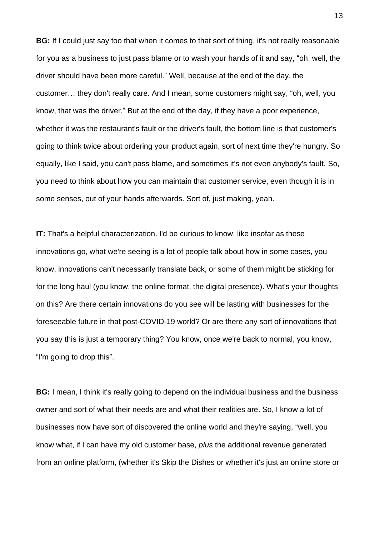**BG:** If I could just say too that when it comes to that sort of thing, it's not really reasonable for you as a business to just pass blame or to wash your hands of it and say, "oh, well, the driver should have been more careful." Well, because at the end of the day, the customer… they don't really care. And I mean, some customers might say, "oh, well, you know, that was the driver." But at the end of the day, if they have a poor experience, whether it was the restaurant's fault or the driver's fault, the bottom line is that customer's going to think twice about ordering your product again, sort of next time they're hungry. So equally, like I said, you can't pass blame, and sometimes it's not even anybody's fault. So, you need to think about how you can maintain that customer service, even though it is in some senses, out of your hands afterwards. Sort of, just making, yeah.

**IT:** That's a helpful characterization. I'd be curious to know, like insofar as these innovations go, what we're seeing is a lot of people talk about how in some cases, you know, innovations can't necessarily translate back, or some of them might be sticking for for the long haul (you know, the online format, the digital presence). What's your thoughts on this? Are there certain innovations do you see will be lasting with businesses for the foreseeable future in that post-COVID-19 world? Or are there any sort of innovations that you say this is just a temporary thing? You know, once we're back to normal, you know, "I'm going to drop this".

**BG:** I mean, I think it's really going to depend on the individual business and the business owner and sort of what their needs are and what their realities are. So, I know a lot of businesses now have sort of discovered the online world and they're saying, "well, you know what, if I can have my old customer base, *plus* the additional revenue generated from an online platform, (whether it's Skip the Dishes or whether it's just an online store or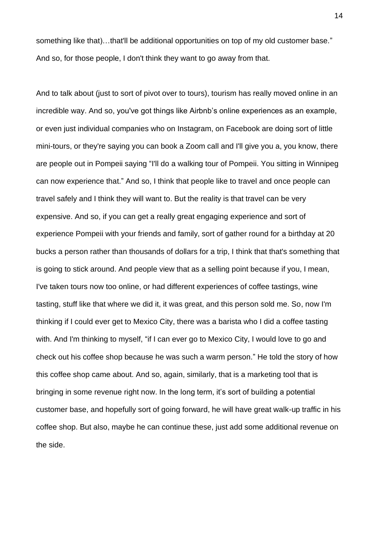something like that)…that'll be additional opportunities on top of my old customer base." And so, for those people, I don't think they want to go away from that.

And to talk about (just to sort of pivot over to tours), tourism has really moved online in an incredible way. And so, you've got things like Airbnb's online experiences as an example, or even just individual companies who on Instagram, on Facebook are doing sort of little mini-tours, or they're saying you can book a Zoom call and I'll give you a, you know, there are people out in Pompeii saying "I'll do a walking tour of Pompeii. You sitting in Winnipeg can now experience that." And so, I think that people like to travel and once people can travel safely and I think they will want to. But the reality is that travel can be very expensive. And so, if you can get a really great engaging experience and sort of experience Pompeii with your friends and family, sort of gather round for a birthday at 20 bucks a person rather than thousands of dollars for a trip, I think that that's something that is going to stick around. And people view that as a selling point because if you, I mean, I've taken tours now too online, or had different experiences of coffee tastings, wine tasting, stuff like that where we did it, it was great, and this person sold me. So, now I'm thinking if I could ever get to Mexico City, there was a barista who I did a coffee tasting with. And I'm thinking to myself, "if I can ever go to Mexico City, I would love to go and check out his coffee shop because he was such a warm person." He told the story of how this coffee shop came about. And so, again, similarly, that is a marketing tool that is bringing in some revenue right now. In the long term, it's sort of building a potential customer base, and hopefully sort of going forward, he will have great walk-up traffic in his coffee shop. But also, maybe he can continue these, just add some additional revenue on the side.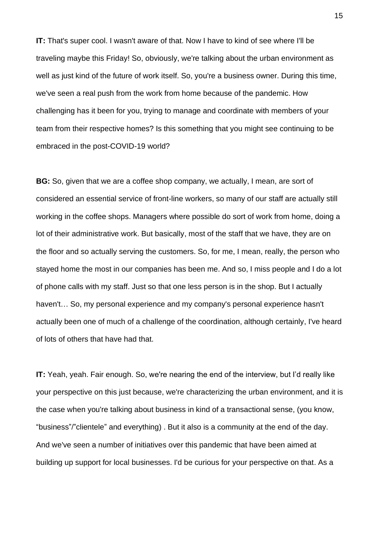**IT:** That's super cool. I wasn't aware of that. Now I have to kind of see where I'll be traveling maybe this Friday! So, obviously, we're talking about the urban environment as well as just kind of the future of work itself. So, you're a business owner. During this time, we've seen a real push from the work from home because of the pandemic. How challenging has it been for you, trying to manage and coordinate with members of your team from their respective homes? Is this something that you might see continuing to be embraced in the post-COVID-19 world?

**BG:** So, given that we are a coffee shop company, we actually, I mean, are sort of considered an essential service of front-line workers, so many of our staff are actually still working in the coffee shops. Managers where possible do sort of work from home, doing a lot of their administrative work. But basically, most of the staff that we have, they are on the floor and so actually serving the customers. So, for me, I mean, really, the person who stayed home the most in our companies has been me. And so, I miss people and I do a lot of phone calls with my staff. Just so that one less person is in the shop. But I actually haven't… So, my personal experience and my company's personal experience hasn't actually been one of much of a challenge of the coordination, although certainly, I've heard of lots of others that have had that.

**IT:** Yeah, yeah. Fair enough. So, we're nearing the end of the interview, but I'd really like your perspective on this just because, we're characterizing the urban environment, and it is the case when you're talking about business in kind of a transactional sense, (you know, "business"/"clientele" and everything) . But it also is a community at the end of the day. And we've seen a number of initiatives over this pandemic that have been aimed at building up support for local businesses. I'd be curious for your perspective on that. As a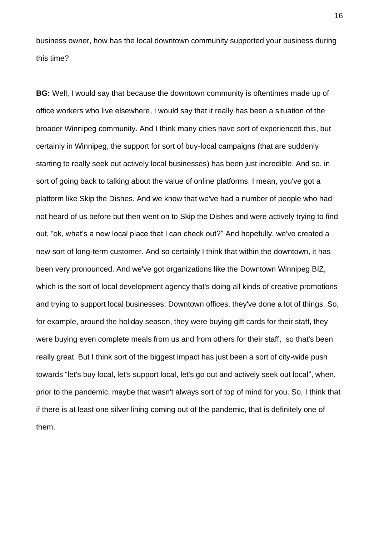business owner, how has the local downtown community supported your business during this time?

**BG:** Well, I would say that because the downtown community is oftentimes made up of office workers who live elsewhere, I would say that it really has been a situation of the broader Winnipeg community. And I think many cities have sort of experienced this, but certainly in Winnipeg, the support for sort of buy-local campaigns (that are suddenly starting to really seek out actively local businesses) has been just incredible. And so, in sort of going back to talking about the value of online platforms, I mean, you've got a platform like Skip the Dishes. And we know that we've had a number of people who had not heard of us before but then went on to Skip the Dishes and were actively trying to find out, "ok, what's a new local place that I can check out?" And hopefully, we've created a new sort of long-term customer. And so certainly I think that within the downtown, it has been very pronounced. And we've got organizations like the Downtown Winnipeg BIZ, which is the sort of local development agency that's doing all kinds of creative promotions and trying to support local businesses; Downtown offices, they've done a lot of things. So, for example, around the holiday season, they were buying gift cards for their staff, they were buying even complete meals from us and from others for their staff, so that's been really great. But I think sort of the biggest impact has just been a sort of city-wide push towards "let's buy local, let's support local, let's go out and actively seek out local", when, prior to the pandemic, maybe that wasn't always sort of top of mind for you. So, I think that if there is at least one silver lining coming out of the pandemic, that is definitely one of them.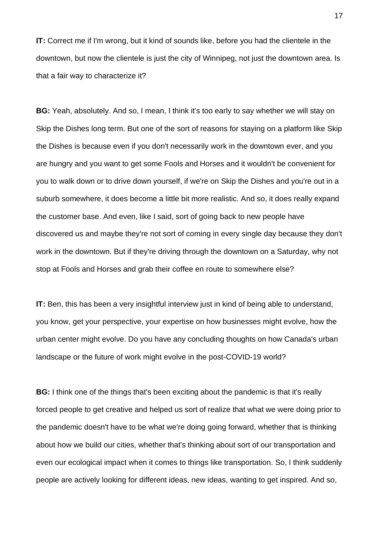**IT:** Correct me if I'm wrong, but it kind of sounds like, before you had the clientele in the downtown, but now the clientele is just the city of Winnipeg, not just the downtown area. Is that a fair way to characterize it?

**BG:** Yeah, absolutely. And so, I mean, I think it's too early to say whether we will stay on Skip the Dishes long term. But one of the sort of reasons for staying on a platform like Skip the Dishes is because even if you don't necessarily work in the downtown ever, and you are hungry and you want to get some Fools and Horses and it wouldn't be convenient for you to walk down or to drive down yourself, if we're on Skip the Dishes and you're out in a suburb somewhere, it does become a little bit more realistic. And so, it does really expand the customer base. And even, like I said, sort of going back to new people have discovered us and maybe they're not sort of coming in every single day because they don't work in the downtown. But if they're driving through the downtown on a Saturday, why not stop at Fools and Horses and grab their coffee en route to somewhere else?

**IT:** Ben, this has been a very insightful interview just in kind of being able to understand, you know, get your perspective, your expertise on how businesses might evolve, how the urban center might evolve. Do you have any concluding thoughts on how Canada's urban landscape or the future of work might evolve in the post-COVID-19 world?

**BG:** I think one of the things that's been exciting about the pandemic is that it's really forced people to get creative and helped us sort of realize that what we were doing prior to the pandemic doesn't have to be what we're doing going forward, whether that is thinking about how we build our cities, whether that's thinking about sort of our transportation and even our ecological impact when it comes to things like transportation. So, I think suddenly people are actively looking for different ideas, new ideas, wanting to get inspired. And so,